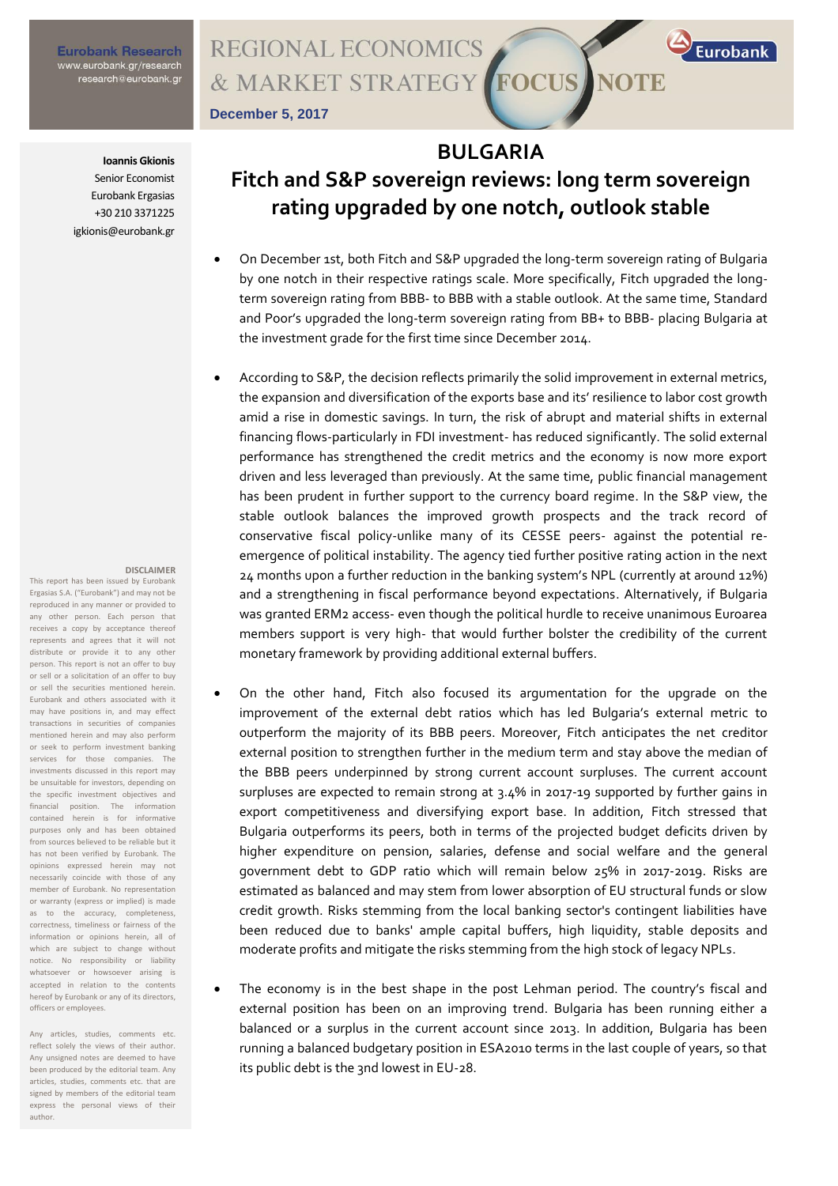## **Eurobank Research** www.eurobank.gr/research<br>research@eurobank.gr

### **REGIONAL ECONOMICS FOCUS** & MARKET STRATEGY **NOTE**

**December 5, 2017**

#### **Ioannis Gkionis**

Senior Economist Eurobank Ergasias +30 210 3371225 igkionis@eurobank.gr

#### **DISCLAIMER**

This report has been issued by Eurobank Ergasias S.A. ("Eurobank") and may not be reproduced in any manner or provided to any other person. Each person that receives a copy by acceptance thereof represents and agrees that it will not distribute or provide it to any other person. This report is not an offer to buy or sell or a solicitation of an offer to buy or sell the securities mentioned herein. Eurobank and others associated with it may have positions in, and may effect transactions in securities of companies mentioned herein and may also perform or seek to perform investment banking services for those companies. The investments discussed in this report may be unsuitable for investors, depending on the specific investment objectives and financial position. The information contained herein is for informative purposes only and has been obtained from sources believed to be reliable but it has not been verified by Eurobank. The opinions expressed herein may not necessarily coincide with those of any member of Eurobank. No representation or warranty (express or implied) is made as to the accuracy, completeness, correctness, timeliness or fairness of the information or opinions herein, all of which are subject to change without notice. No responsibility or liability whatsoever or howsoever arising is accepted in relation to the contents hereof by Eurobank or any of its directors, officers or employees.

Any articles, studies, comments etc. reflect solely the views of their author. Any unsigned notes are deemed to have been produced by the editorial team. Any articles, studies, comments etc. that are signed by members of the editorial team express the personal views of their author.

# **BULGARIA Fitch and S&P sovereign reviews: long term sovereign rating upgraded by one notch, outlook stable**

Eurobank

- On December 1st, both Fitch and S&P upgraded the long-term sovereign rating of Bulgaria by one notch in their respective ratings scale. More specifically, Fitch upgraded the longterm sovereign rating from BBB- to BBB with a stable outlook. At the same time, Standard and Poor's upgraded the long-term sovereign rating from BB+ to BBB- placing Bulgaria at the investment grade for the first time since December 2014.
- According to S&P, the decision reflects primarily the solid improvement in external metrics, the expansion and diversification of the exports base and its' resilience to labor cost growth amid a rise in domestic savings. In turn, the risk of abrupt and material shifts in external financing flows-particularly in FDI investment- has reduced significantly. The solid external performance has strengthened the credit metrics and the economy is now more export driven and less leveraged than previously. At the same time, public financial management has been prudent in further support to the currency board regime. In the S&P view, the stable outlook balances the improved growth prospects and the track record of conservative fiscal policy-unlike many of its CESSE peers- against the potential reemergence of political instability. The agency tied further positive rating action in the next 24 months upon a further reduction in the banking system's NPL (currently at around 12%) and a strengthening in fiscal performance beyond expectations. Alternatively, if Bulgaria was granted ERM2 access- even though the political hurdle to receive unanimous Euroarea members support is very high- that would further bolster the credibility of the current monetary framework by providing additional external buffers.
- On the other hand, Fitch also focused its argumentation for the upgrade on the improvement of the external debt ratios which has led Bulgaria's external metric to outperform the majority of its BBB peers. Moreover, Fitch anticipates the net creditor external position to strengthen further in the medium term and stay above the median of the BBB peers underpinned by strong current account surpluses. The current account surpluses are expected to remain strong at 3.4% in 2017-19 supported by further gains in export competitiveness and diversifying export base. In addition, Fitch stressed that Bulgaria outperforms its peers, both in terms of the projected budget deficits driven by higher expenditure on pension, salaries, defense and social welfare and the general government debt to GDP ratio which will remain below 25% in 2017-2019. Risks are estimated as balanced and may stem from lower absorption of EU structural funds or slow credit growth. Risks stemming from the local banking sector's contingent liabilities have been reduced due to banks' ample capital buffers, high liquidity, stable deposits and moderate profits and mitigate the risks stemming from the high stock of legacy NPLs.
- The economy is in the best shape in the post Lehman period. The country's fiscal and external position has been on an improving trend. Bulgaria has been running either a balanced or a surplus in the current account since 2013. In addition, Bulgaria has been running a balanced budgetary position in ESA2010 terms in the last couple of years, so that its public debt is the 3nd lowest in EU-28.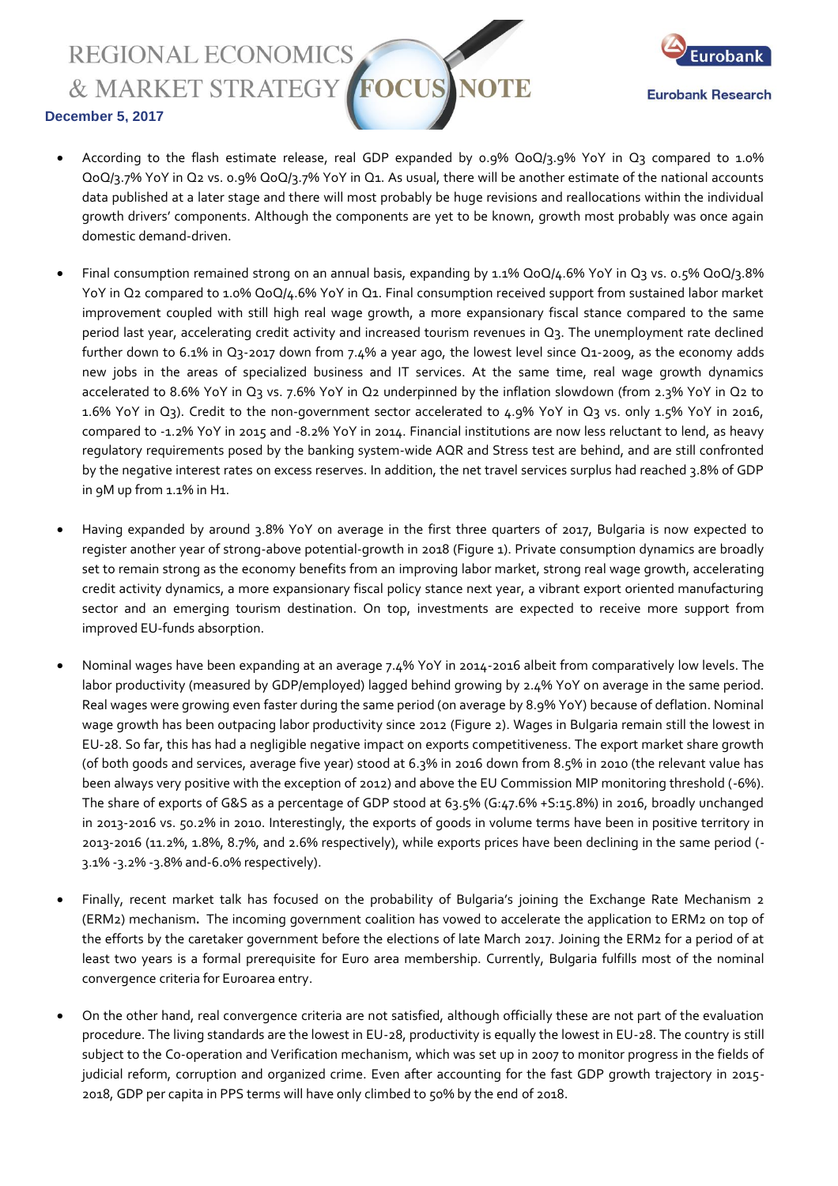**REGIONAL ECONOMICS** FOCUS & MARKET STRATEGY



### **December 5, 2017**

- According to the flash estimate release, real GDP expanded by 0.9% QoQ/3.9% YoY in Q3 compared to 1.0% QoQ/3.7% YoY in Q2 vs. 0.9% QoQ/3.7% YoY in Q1. As usual, there will be another estimate of the national accounts data published at a later stage and there will most probably be huge revisions and reallocations within the individual growth drivers' components. Although the components are yet to be known, growth most probably was once again domestic demand-driven.
- Final consumption remained strong on an annual basis, expanding by 1.1% QoQ/4.6% YoY in Q3 vs. 0.5% QoQ/3.8% YoY in Q2 compared to 1.0% QoQ/4.6% YoY in Q1. Final consumption received support from sustained labor market improvement coupled with still high real wage growth, a more expansionary fiscal stance compared to the same period last year, accelerating credit activity and increased tourism revenues in Q3. The unemployment rate declined further down to 6.1% in Q3-2017 down from 7.4% a year ago, the lowest level since Q1-2009, as the economy adds new jobs in the areas of specialized business and IT services. At the same time, real wage growth dynamics accelerated to 8.6% YoY in Q3 vs. 7.6% YoY in Q2 underpinned by the inflation slowdown (from 2.3% YoY in Q2 to 1.6% YoY in Q3). Credit to the non-government sector accelerated to 4.9% YoY in Q3 vs. only 1.5% YoY in 2016, compared to -1.2% YoY in 2015 and -8.2% YoY in 2014. Financial institutions are now less reluctant to lend, as heavy regulatory requirements posed by the banking system-wide AQR and Stress test are behind, and are still confronted by the negative interest rates on excess reserves. In addition, the net travel services surplus had reached 3.8% of GDP in 9M up from 1.1% in H1.
- Having expanded by around 3.8% YoY on average in the first three quarters of 2017, Bulgaria is now expected to register another year of strong-above potential-growth in 2018 (Figure 1). Private consumption dynamics are broadly set to remain strong as the economy benefits from an improving labor market, strong real wage growth, accelerating credit activity dynamics, a more expansionary fiscal policy stance next year, a vibrant export oriented manufacturing sector and an emerging tourism destination. On top, investments are expected to receive more support from improved EU-funds absorption.
- Nominal wages have been expanding at an average 7.4% YoY in 2014-2016 albeit from comparatively low levels. The labor productivity (measured by GDP/employed) lagged behind growing by 2.4% YoY on average in the same period. Real wages were growing even faster during the same period (on average by 8.9% YoY) because of deflation. Nominal wage growth has been outpacing labor productivity since 2012 (Figure 2). Wages in Bulgaria remain still the lowest in EU-28. So far, this has had a negligible negative impact on exports competitiveness. The export market share growth (of both goods and services, average five year) stood at 6.3% in 2016 down from 8.5% in 2010 (the relevant value has been always very positive with the exception of 2012) and above the EU Commission MIP monitoring threshold (-6%). The share of exports of G&S as a percentage of GDP stood at 63.5% (G:47.6% +S:15.8%) in 2016, broadly unchanged in 2013-2016 vs. 50.2% in 2010. Interestingly, the exports of goods in volume terms have been in positive territory in 2013-2016 (11.2%, 1.8%, 8.7%, and 2.6% respectively), while exports prices have been declining in the same period (- 3.1% -3.2% -3.8% and-6.0% respectively).
- Finally, recent market talk has focused on the probability of Bulgaria's joining the Exchange Rate Mechanism 2 (ERM2) mechanism. The incoming government coalition has vowed to accelerate the application to ERM2 on top of the efforts by the caretaker government before the elections of late March 2017. Joining the ERM2 for a period of at least two years is a formal prerequisite for Euro area membership. Currently, Bulgaria fulfills most of the nominal convergence criteria for Euroarea entry.
- On the other hand, real convergence criteria are not satisfied, although officially these are not part of the evaluation procedure. The living standards are the lowest in EU-28, productivity is equally the lowest in EU-28. The country is still subject to the Co-operation and Verification mechanism, which was set up in 2007 to monitor progress in the fields of judicial reform, corruption and organized crime. Even after accounting for the fast GDP growth trajectory in 2015- 2018, GDP per capita in PPS terms will have only climbed to 50% by the end of 2018.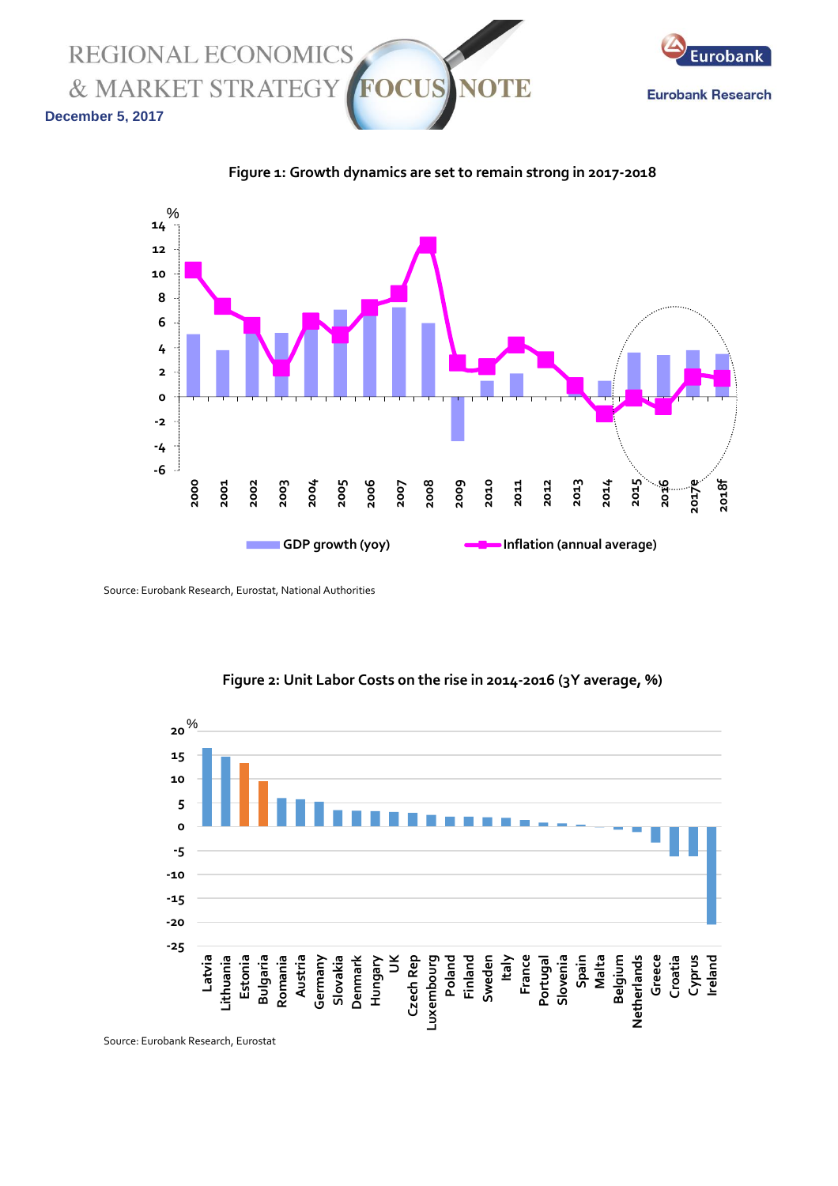**REGIONAL ECONOMICS** & MARKET STRATEGY E **December 5, 2017**



**Figure 1: Growth dynamics are set to remain strong in 2017-2018**



Source: Eurobank Research, Eurostat, National Authorities



**Figure 2: Unit Labor Costs on the rise in 2014-2016 (3Y average, %)**

Source: Eurobank Research, Eurostat